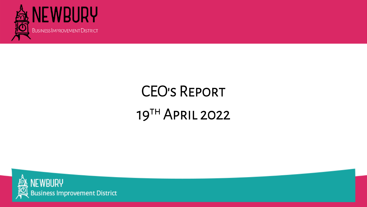

# CEO's Report 19TH APRIL 2022





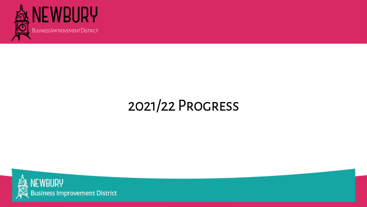

## 2021/22 Progress

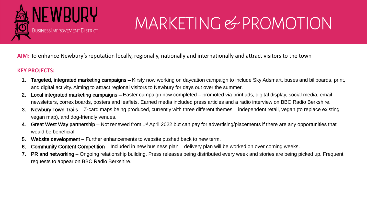

# MARKETING & PROMOTION

- 1. Targeted, integrated marketing campaigns Kirsty now working on daycation campaign to include Sky Adsmart, buses and billboards, print, and digital activity. Aiming to attract regional visitors to Newbury for days out over the summer.
- Local integrated marketing campaigns Easter campaign now completed promoted via print ads, digital display, social media, email newsletters, correx boards, posters and leaflets. Earned media included press articles and a radio interview on BBC Radio Berkshire.
- 3. Newbury Town Trails Z-card maps being produced, currently with three different themes independent retail, vegan (to replace existing vegan map), and dog-friendly venues.
- 4. Great West Way partnership Not renewed from 1<sup>st</sup> April 2022 but can pay for advertising/placements if there are any opportunities that would be beneficial.
- 5. Website development Further enhancements to website pushed back to new term.
- 6. Community Content Competition Included in new business plan delivery plan will be worked on over coming weeks.
- 7. PR and networking Ongoing relationship building. Press releases being distributed every week and stories are being picked up. Frequent requests to appear on BBC Radio Berkshire.

**AIM:** To enhance Newbury's reputation locally, regionally, nationally and internationally and attract visitors to the town

#### **KEY PROJECTS:**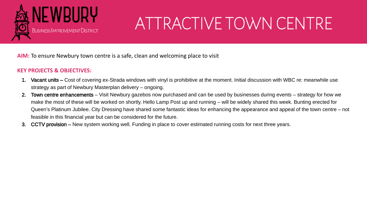

# ATTRACTIVE TOWN CENTRE

**AIM:** To ensure Newbury town centre is a safe, clean and welcoming place to visit

### **KEY PROJECTS & OBJECTIVES:**

- 1. Vacant units Cost of covering ex-Strada windows with vinyl is prohibitive at the moment. Initial discussion with WBC re: meanwhile use strategy as part of Newbury Masterplan delivery – ongoing.
- 2. Town centre enhancements Visit Newbury gazebos now purchased and can be used by businesses during events strategy for how we make the most of these will be worked on shortly. Hello Lamp Post up and running – will be widely shared this week. Bunting erected for Queen's Platinum Jubilee. City Dressing have shared some fantastic ideas for enhancing the appearance and appeal of the town centre – not feasible in this financial year but can be considered for the future.
- 3. CCTV provision New system working well. Funding in place to cover estimated running costs for next three years.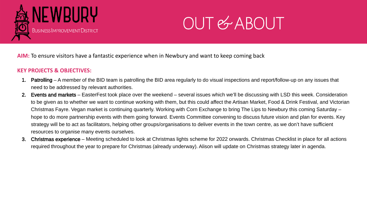- 1. Patrolling A member of the BID team is patrolling the BID area regularly to do visual inspections and report/follow-up on any issues that need to be addressed by relevant authorities.
- 2. Events and markets EasterFest took place over the weekend several issues which we'll be discussing with LSD this week. Consideration to be given as to whether we want to continue working with them, but this could affect the Artisan Market, Food & Drink Festival, and Victorian Christmas Fayre. Vegan market is continuing quarterly. Working with Corn Exchange to bring The Lips to Newbury this coming Saturday – hope to do more partnership events with them going forward. Events Committee convening to discuss future vision and plan for events. Key strategy will be to act as facilitators, helping other groups/organisations to deliver events in the town centre, as we don't have sufficient resources to organise many events ourselves.
- 3. Christmas experience Meeting scheduled to look at Christmas lights scheme for 2022 onwards. Christmas Checklist in place for all actions required throughout the year to prepare for Christmas (already underway). Alison will update on Christmas strategy later in agenda.

## OUT & ABOUT



**AIM:** To ensure visitors have a fantastic experience when in Newbury and want to keep coming back

#### **KEY PROJECTS & OBJECTIVES:**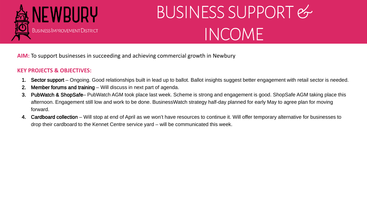

# BUSINESS SUPPORT & INCOME

- 1. Sector support Ongoing. Good relationships built in lead up to ballot. Ballot insights suggest better engagement with retail sector is needed.
- 2. Member forums and training Will discuss in next part of agenda.
- 3. PubWatch & ShopSafe– PubWatch AGM took place last week. Scheme is strong and engagement is good. ShopSafe AGM taking place this afternoon. Engagement still low and work to be done. BusinessWatch strategy half-day planned for early May to agree plan for moving forward.
- 4. Cardboard collection Will stop at end of April as we won't have resources to continue it. Will offer temporary alternative for businesses to drop their cardboard to the Kennet Centre service yard – will be communicated this week.

**AIM:** To support businesses in succeeding and achieving commercial growth in Newbury

## **KEY PROJECTS & OBJECTIVES:**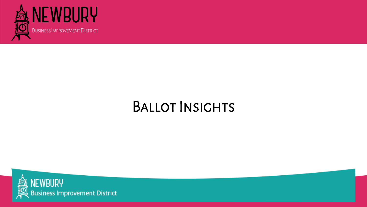

## BALLOT INSIGHTS